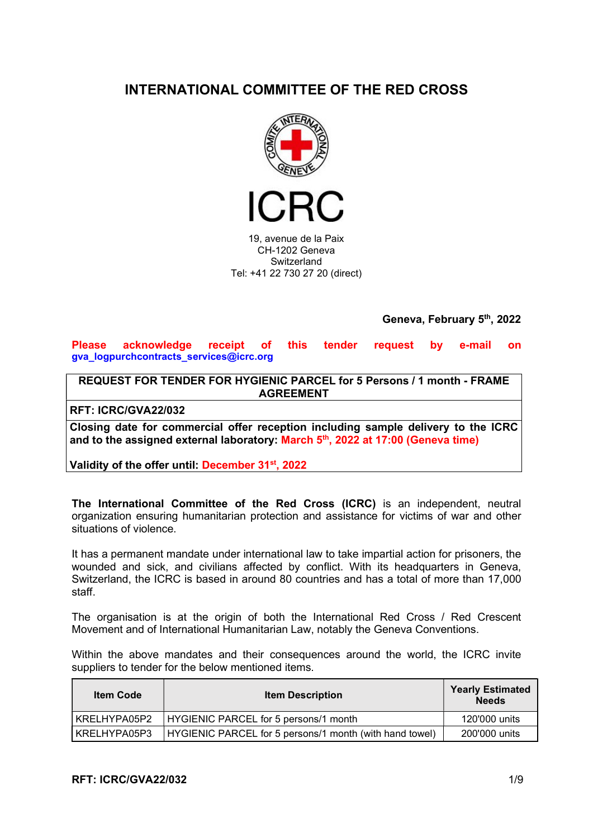# INTERNATIONAL COMMITTEE OF THE RED CROSS



19, avenue de la Paix CH-1202 Geneva **Switzerland** Tel: +41 22 730 27 20 (direct)

Geneva, February 5th, 2022

Please acknowledge receipt of this tender request by e-mail on gva\_logpurchcontracts\_services@icrc.org

REQUEST FOR TENDER FOR HYGIENIC PARCEL for 5 Persons / 1 month - FRAME AGREEMENT

RFT: ICRC/GVA22/032

Closing date for commercial offer reception including sample delivery to the ICRC and to the assigned external laboratory: March 5<sup>th</sup>, 2022 at 17:00 (Geneva time)

Validity of the offer until: December 31<sup>st</sup>, 2022

The International Committee of the Red Cross (ICRC) is an independent, neutral organization ensuring humanitarian protection and assistance for victims of war and other situations of violence.

It has a permanent mandate under international law to take impartial action for prisoners, the wounded and sick, and civilians affected by conflict. With its headquarters in Geneva, Switzerland, the ICRC is based in around 80 countries and has a total of more than 17,000 staff.

The organisation is at the origin of both the International Red Cross / Red Crescent Movement and of International Humanitarian Law, notably the Geneva Conventions.

Within the above mandates and their consequences around the world, the ICRC invite suppliers to tender for the below mentioned items.

| <b>Item Code</b> | <b>Item Description</b>                                 | <b>Yearly Estimated</b><br><b>Needs</b> |
|------------------|---------------------------------------------------------|-----------------------------------------|
| I KRELHYPA05P2   | HYGIENIC PARCEL for 5 persons/1 month                   | 120'000 units                           |
| KRELHYPA05P3     | HYGIENIC PARCEL for 5 persons/1 month (with hand towel) | 200'000 units                           |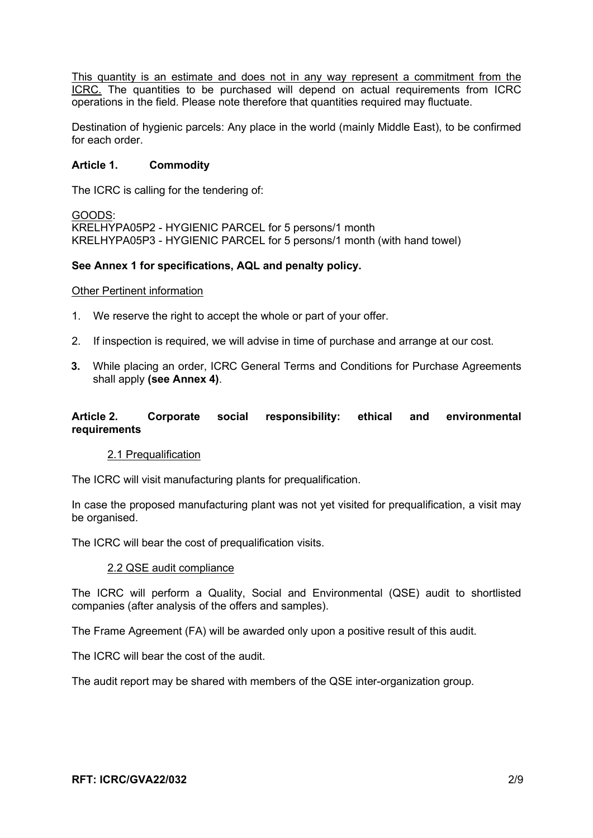This quantity is an estimate and does not in any way represent a commitment from the ICRC. The quantities to be purchased will depend on actual requirements from ICRC operations in the field. Please note therefore that quantities required may fluctuate.

Destination of hygienic parcels: Any place in the world (mainly Middle East), to be confirmed for each order.

# Article 1. Commodity

The ICRC is calling for the tendering of:

GOODS: KRELHYPA05P2 - HYGIENIC PARCEL for 5 persons/1 month KRELHYPA05P3 - HYGIENIC PARCEL for 5 persons/1 month (with hand towel)

# See Annex 1 for specifications, AQL and penalty policy.

#### Other Pertinent information

- 1. We reserve the right to accept the whole or part of your offer.
- 2. If inspection is required, we will advise in time of purchase and arrange at our cost.
- 3. While placing an order, ICRC General Terms and Conditions for Purchase Agreements shall apply (see Annex 4).

# Article 2. Corporate social responsibility: ethical and environmental requirements

#### 2.1 Prequalification

The ICRC will visit manufacturing plants for prequalification.

In case the proposed manufacturing plant was not yet visited for prequalification, a visit may be organised.

The ICRC will bear the cost of prequalification visits.

#### 2.2 QSE audit compliance

The ICRC will perform a Quality, Social and Environmental (QSE) audit to shortlisted companies (after analysis of the offers and samples).

The Frame Agreement (FA) will be awarded only upon a positive result of this audit.

The ICRC will bear the cost of the audit.

The audit report may be shared with members of the QSE inter-organization group.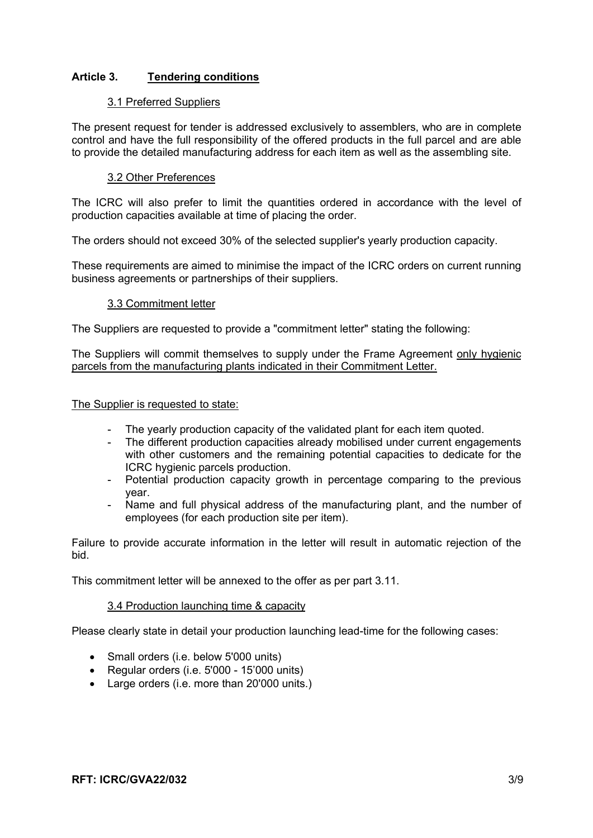# Article 3. Tendering conditions

# 3.1 Preferred Suppliers

The present request for tender is addressed exclusively to assemblers, who are in complete control and have the full responsibility of the offered products in the full parcel and are able to provide the detailed manufacturing address for each item as well as the assembling site.

# 3.2 Other Preferences

The ICRC will also prefer to limit the quantities ordered in accordance with the level of production capacities available at time of placing the order.

The orders should not exceed 30% of the selected supplier's yearly production capacity.

These requirements are aimed to minimise the impact of the ICRC orders on current running business agreements or partnerships of their suppliers.

# 3.3 Commitment letter

The Suppliers are requested to provide a "commitment letter" stating the following:

The Suppliers will commit themselves to supply under the Frame Agreement only hygienic parcels from the manufacturing plants indicated in their Commitment Letter.

The Supplier is requested to state:

- The yearly production capacity of the validated plant for each item quoted.<br>- The different production capacities already mobilised under current engage
- The different production capacities already mobilised under current engagements with other customers and the remaining potential capacities to dedicate for the ICRC hygienic parcels production.
- Potential production capacity growth in percentage comparing to the previous year.
- Name and full physical address of the manufacturing plant, and the number of employees (for each production site per item).

Failure to provide accurate information in the letter will result in automatic rejection of the bid.

This commitment letter will be annexed to the offer as per part 3.11.

# 3.4 Production launching time & capacity

Please clearly state in detail your production launching lead-time for the following cases:

- Small orders (i.e. below 5'000 units)
- Regular orders (i.e. 5'000 15'000 units)
- Large orders (i.e. more than 20'000 units.)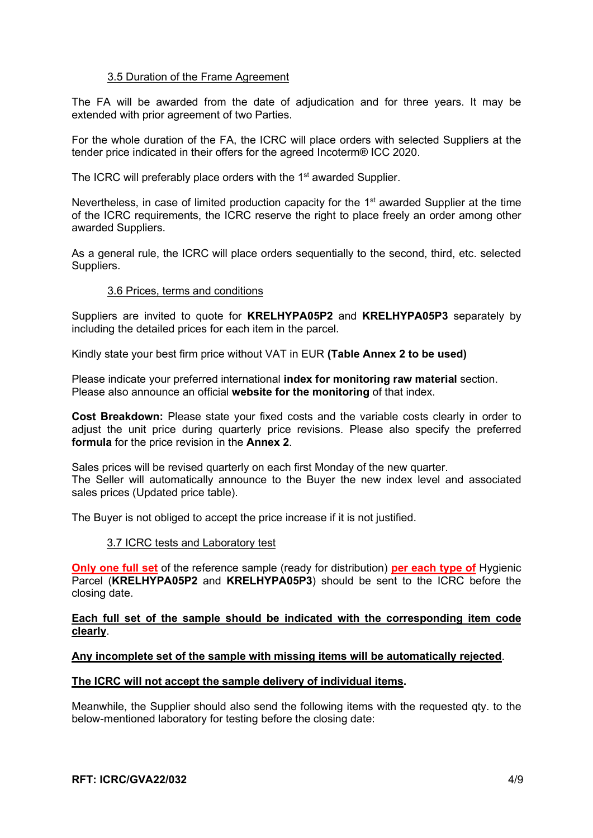# 3.5 Duration of the Frame Agreement

The FA will be awarded from the date of adjudication and for three years. It may be extended with prior agreement of two Parties.

For the whole duration of the FA, the ICRC will place orders with selected Suppliers at the tender price indicated in their offers for the agreed Incoterm® ICC 2020.

The ICRC will preferably place orders with the 1<sup>st</sup> awarded Supplier.

Nevertheless, in case of limited production capacity for the 1<sup>st</sup> awarded Supplier at the time of the ICRC requirements, the ICRC reserve the right to place freely an order among other awarded Suppliers.

As a general rule, the ICRC will place orders sequentially to the second, third, etc. selected Suppliers.

# 3.6 Prices, terms and conditions

Suppliers are invited to quote for KRELHYPA05P2 and KRELHYPA05P3 separately by including the detailed prices for each item in the parcel.

Kindly state your best firm price without VAT in EUR (Table Annex 2 to be used)

Please indicate your preferred international index for monitoring raw material section. Please also announce an official website for the monitoring of that index.

Cost Breakdown: Please state your fixed costs and the variable costs clearly in order to adjust the unit price during quarterly price revisions. Please also specify the preferred formula for the price revision in the Annex 2.

Sales prices will be revised quarterly on each first Monday of the new quarter. The Seller will automatically announce to the Buyer the new index level and associated sales prices (Updated price table).

The Buyer is not obliged to accept the price increase if it is not justified.

#### 3.7 ICRC tests and Laboratory test

Only one full set of the reference sample (ready for distribution) per each type of Hygienic Parcel (KRELHYPA05P2 and KRELHYPA05P3) should be sent to the ICRC before the closing date.

## Each full set of the sample should be indicated with the corresponding item code clearly.

# Any incomplete set of the sample with missing items will be automatically rejected.

#### The ICRC will not accept the sample delivery of individual items.

Meanwhile, the Supplier should also send the following items with the requested qty. to the below-mentioned laboratory for testing before the closing date: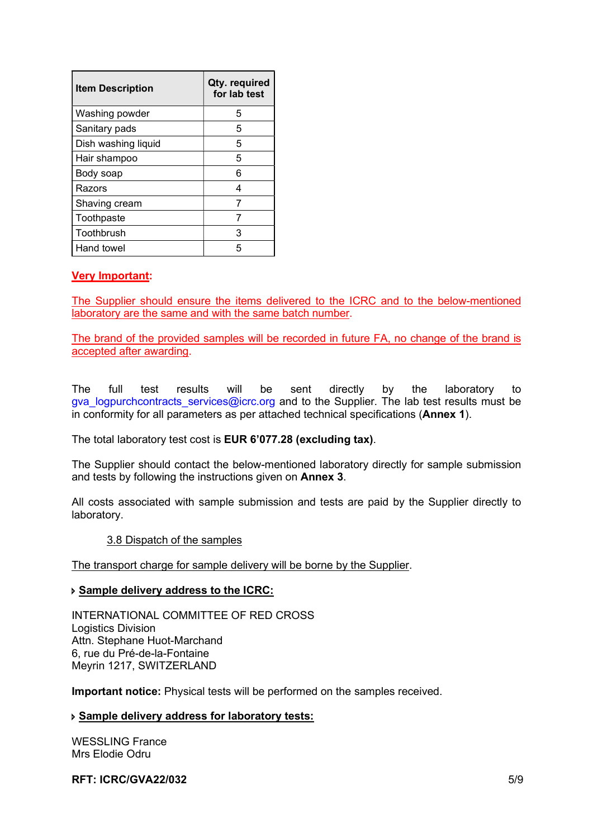| <b>Item Description</b> | Qty. required<br>for lab test |
|-------------------------|-------------------------------|
| Washing powder          | 5                             |
| Sanitary pads           | 5                             |
| Dish washing liquid     | 5                             |
| Hair shampoo            | 5                             |
| Body soap               | 6                             |
| Razors                  |                               |
| Shaving cream           |                               |
| Toothpaste              |                               |
| Toothbrush              | 3                             |
| Hand towel              | 5                             |

# Very Important:

The Supplier should ensure the items delivered to the ICRC and to the below-mentioned laboratory are the same and with the same batch number.

The brand of the provided samples will be recorded in future FA, no change of the brand is accepted after awarding.

The full test results will be sent directly by the laboratory to gva\_logpurchcontracts\_services@icrc.org and to the Supplier. The lab test results must be in conformity for all parameters as per attached technical specifications (Annex 1).

The total laboratory test cost is **EUR 6'077.28 (excluding tax)**.

The Supplier should contact the below-mentioned laboratory directly for sample submission and tests by following the instructions given on Annex 3.

All costs associated with sample submission and tests are paid by the Supplier directly to laboratory.

#### 3.8 Dispatch of the samples

The transport charge for sample delivery will be borne by the Supplier.

#### Sample delivery address to the ICRC:

INTERNATIONAL COMMITTEE OF RED CROSS Logistics Division Attn. Stephane Huot-Marchand 6, rue du Pré-de-la-Fontaine Meyrin 1217, SWITZERLAND

Important notice: Physical tests will be performed on the samples received.

# Sample delivery address for laboratory tests:

WESSLING France Mrs Elodie Odru

#### $RFT: ICRC/GVA22/032$   $5/9$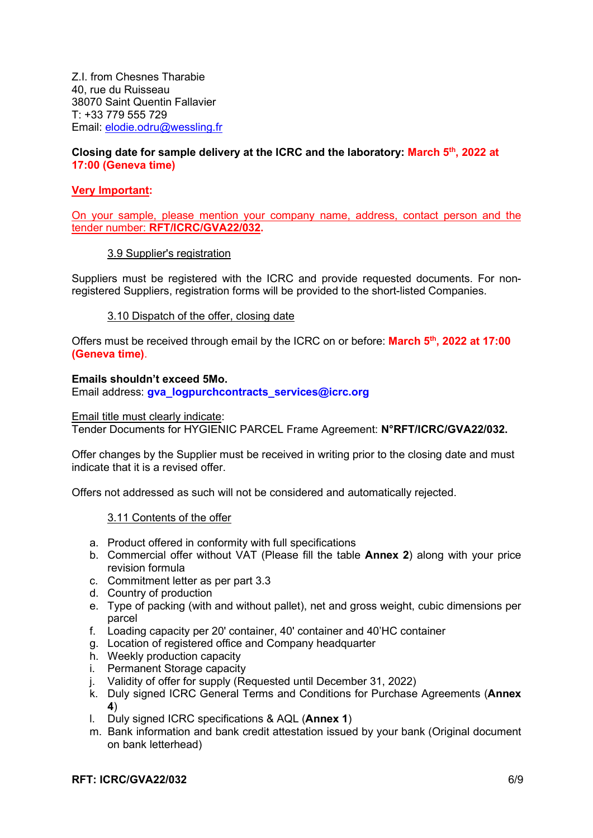Z.I. from Chesnes Tharabie 40, rue du Ruisseau 38070 Saint Quentin Fallavier T: +33 779 555 729 Email: elodie.odru@wessling.fr

# Closing date for sample delivery at the ICRC and the laboratory: March 5<sup>th</sup>, 2022 at 17:00 (Geneva time)

# Very Important:

On your sample, please mention your company name, address, contact person and the tender number: RFT/ICRC/GVA22/032.

# 3.9 Supplier's registration

Suppliers must be registered with the ICRC and provide requested documents. For nonregistered Suppliers, registration forms will be provided to the short-listed Companies.

# 3.10 Dispatch of the offer, closing date

Offers must be received through email by the ICRC on or before: March 5<sup>th</sup>, 2022 at 17:00 (Geneva time).

# Emails shouldn't exceed 5Mo.

Email address: gva\_logpurchcontracts\_services@icrc.org

## Email title must clearly indicate:

Tender Documents for HYGIENIC PARCEL Frame Agreement: N°RFT/ICRC/GVA22/032.

Offer changes by the Supplier must be received in writing prior to the closing date and must indicate that it is a revised offer.

Offers not addressed as such will not be considered and automatically rejected.

#### 3.11 Contents of the offer

- a. Product offered in conformity with full specifications
- b. Commercial offer without VAT (Please fill the table Annex 2) along with your price revision formula
- c. Commitment letter as per part 3.3
- d. Country of production
- e. Type of packing (with and without pallet), net and gross weight, cubic dimensions per parcel
- f. Loading capacity per 20' container, 40' container and 40'HC container
- g. Location of registered office and Company headquarter
- h. Weekly production capacity
- i. Permanent Storage capacity
- j. Validity of offer for supply (Requested until December 31, 2022)
- k. Duly signed ICRC General Terms and Conditions for Purchase Agreements (Annex 4)
- l. Duly signed ICRC specifications & AQL (Annex 1)
- m. Bank information and bank credit attestation issued by your bank (Original document on bank letterhead)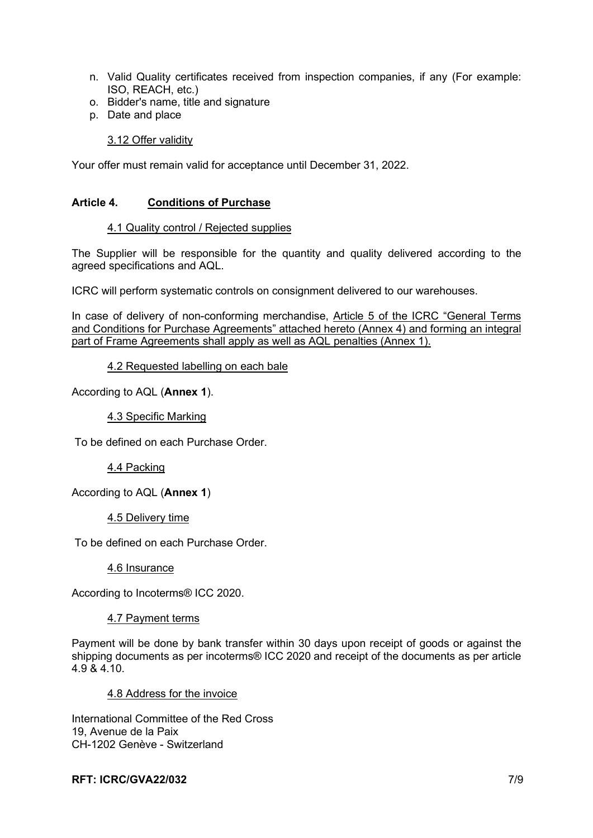- n. Valid Quality certificates received from inspection companies, if any (For example: ISO, REACH, etc.)
- o. Bidder's name, title and signature
- p. Date and place

# 3.12 Offer validity

Your offer must remain valid for acceptance until December 31, 2022.

# Article 4. Conditions of Purchase

#### 4.1 Quality control / Rejected supplies

The Supplier will be responsible for the quantity and quality delivered according to the agreed specifications and AQL.

ICRC will perform systematic controls on consignment delivered to our warehouses.

In case of delivery of non-conforming merchandise, Article 5 of the ICRC "General Terms and Conditions for Purchase Agreements" attached hereto (Annex 4) and forming an integral part of Frame Agreements shall apply as well as AQL penalties (Annex 1).

4.2 Requested labelling on each bale

According to AQL (Annex 1).

# 4.3 Specific Marking

To be defined on each Purchase Order.

4.4 Packing

According to AQL (Annex 1)

#### 4.5 Delivery time

To be defined on each Purchase Order.

4.6 Insurance

According to Incoterms® ICC 2020.

#### 4.7 Payment terms

Payment will be done by bank transfer within 30 days upon receipt of goods or against the shipping documents as per incoterms® ICC 2020 and receipt of the documents as per article 4.9 & 4.10.

#### 4.8 Address for the invoice

International Committee of the Red Cross 19, Avenue de la Paix CH-1202 Genève - Switzerland

## RFT: ICRC/GVA22/032 7/9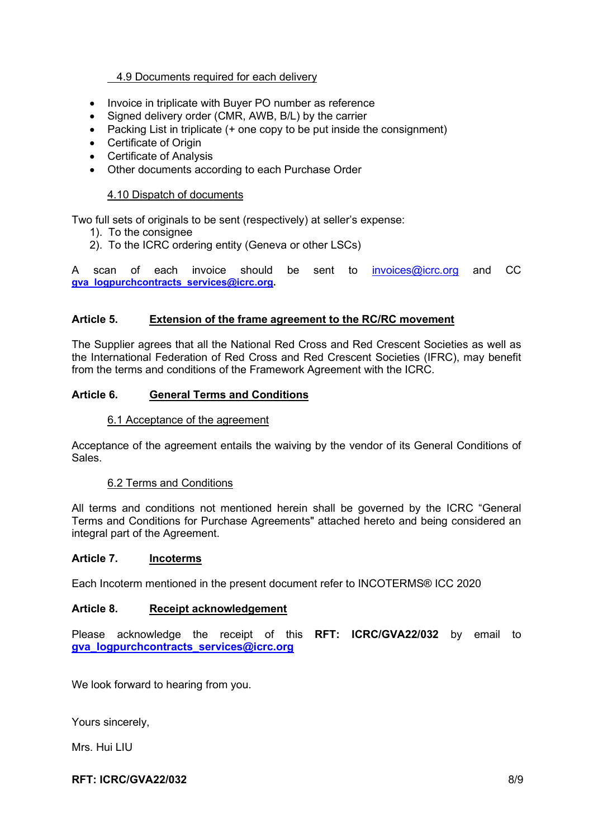# 4.9 Documents required for each delivery

- Invoice in triplicate with Buyer PO number as reference
- Signed delivery order (CMR, AWB, B/L) by the carrier
- Packing List in triplicate  $(+)$  one copy to be put inside the consignment)
- Certificate of Origin
- Certificate of Analysis
- Other documents according to each Purchase Order

# 4.10 Dispatch of documents

Two full sets of originals to be sent (respectively) at seller's expense:

- 1). To the consignee
- 2). To the ICRC ordering entity (Geneva or other LSCs)

A scan of each invoice should be sent to invoices@icrc.org and CC gva\_logpurchcontracts\_services@icrc.org.

# Article 5. Extension of the frame agreement to the RC/RC movement

The Supplier agrees that all the National Red Cross and Red Crescent Societies as well as the International Federation of Red Cross and Red Crescent Societies (IFRC), may benefit from the terms and conditions of the Framework Agreement with the ICRC.

# Article 6. General Terms and Conditions

## 6.1 Acceptance of the agreement

Acceptance of the agreement entails the waiving by the vendor of its General Conditions of Sales.

#### 6.2 Terms and Conditions

All terms and conditions not mentioned herein shall be governed by the ICRC "General Terms and Conditions for Purchase Agreements" attached hereto and being considered an integral part of the Agreement.

#### Article 7. Incoterms

Each Incoterm mentioned in the present document refer to INCOTERMS® ICC 2020

# Article 8. Receipt acknowledgement

Please acknowledge the receipt of this RFT: ICRC/GVA22/032 by email to gva\_logpurchcontracts\_services@icrc.org

We look forward to hearing from you.

Yours sincerely,

Mrs. Hui LIU

#### RFT: ICRC/GVA22/032 8/9